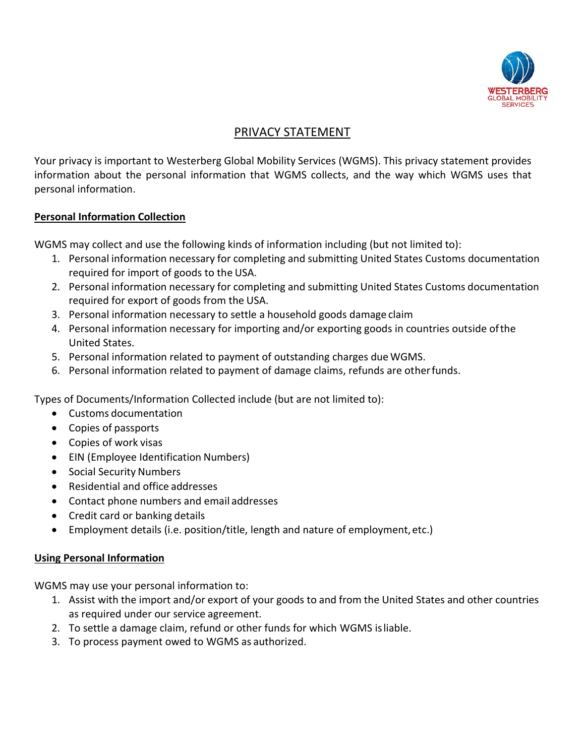

# PRIVACY STATEMENT

Your privacy is important to Westerberg Global Mobility Services (WGMS). This privacy statement provides information about the personal information that WGMS collects, and the way which WGMS uses that personal information.

## **Personal Information Collection**

WGMS may collect and use the following kinds of information including (but not limited to):

- 1. Personal information necessary for completing and submitting United States Customs documentation required for import of goods to the USA.
- 2. Personal information necessary for completing and submitting United States Customs documentation required for export of goods from the USA.
- 3. Personal information necessary to settle a household goods damage claim
- 4. Personal information necessary for importing and/or exporting goods in countries outside ofthe United States.
- 5. Personal information related to payment of outstanding charges due WGMS.
- 6. Personal information related to payment of damage claims, refunds are otherfunds.

Types of Documents/Information Collected include (but are not limited to):

- Customs documentation
- Copies of passports
- Copies of work visas
- EIN (Employee Identification Numbers)
- Social Security Numbers
- Residential and office addresses
- Contact phone numbers and email addresses
- Credit card or banking details
- Employment details (i.e. position/title, length and nature of employment,etc.)

## **Using Personal Information**

WGMS may use your personal information to:

- 1. Assist with the import and/or export of your goods to and from the United States and other countries as required under our service agreement.
- 2. To settle a damage claim, refund or other funds for which WGMS isliable.
- 3. To process payment owed to WGMS as authorized.